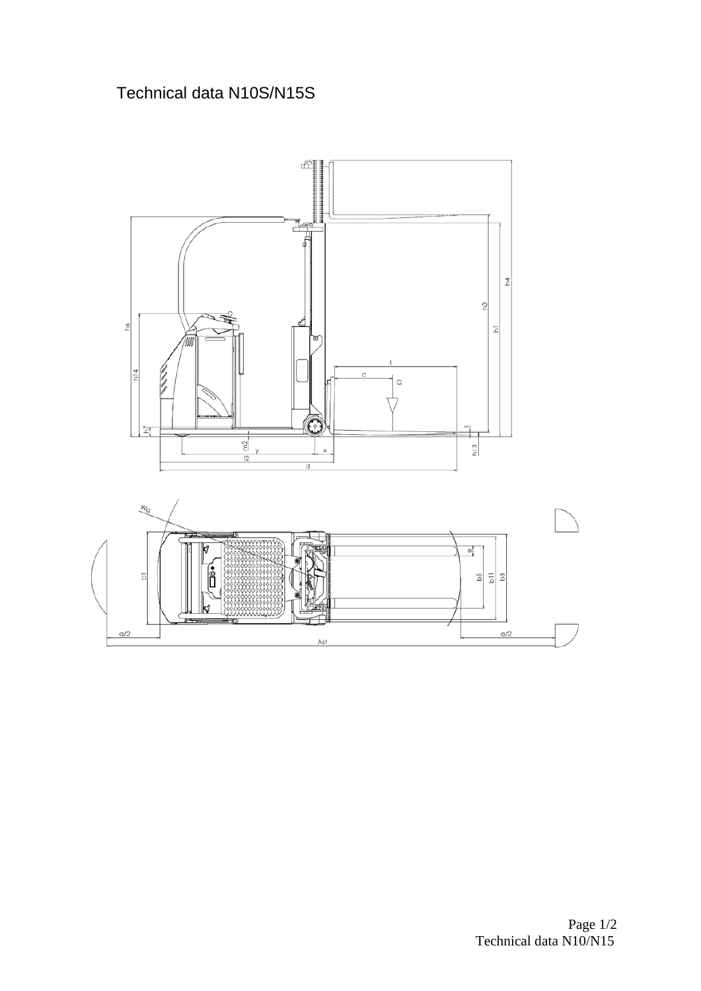## Technical data N10S/N15S